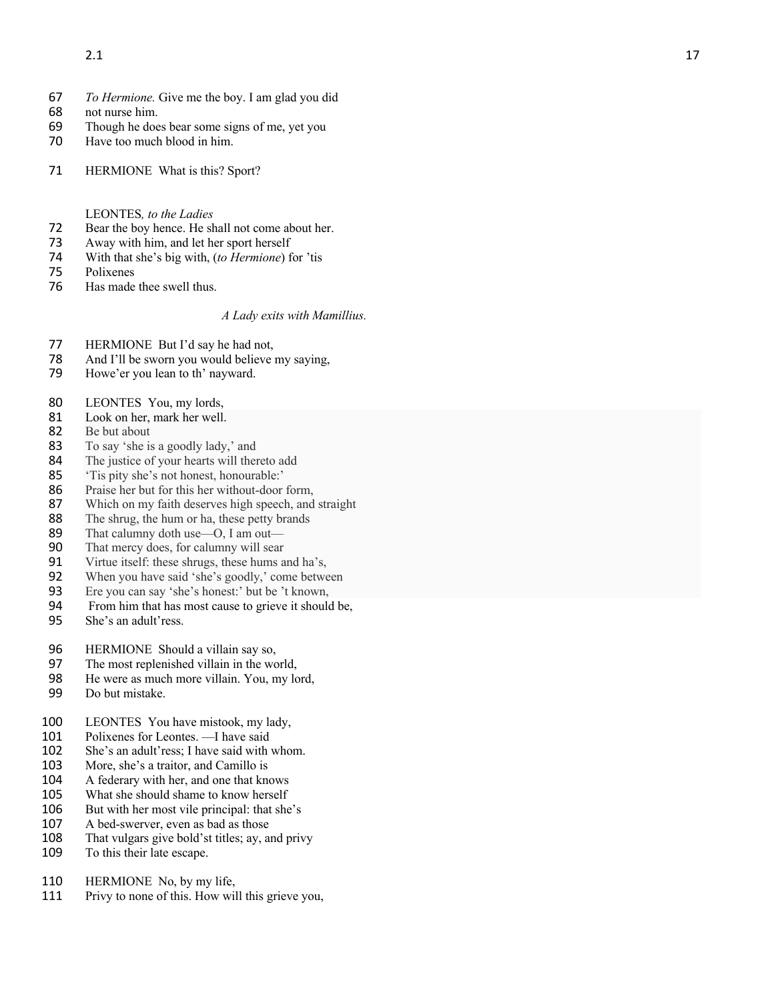- 67 *To Hermione.* Give me the boy. I am glad you did
- 68 not nurse him.<br>69 Though he doe
- Though he does bear some signs of me, yet you
- 70 Have too much blood in him.
- 71 HERMIONE What is this? Sport?

## LEONTES*, to the Ladies*

- 72 Bear the boy hence. He shall not come about her.
- 73 Away with him, and let her sport herself<br>74 With that she's big with. (to Hermione) for
- 74 With that she's big with, (*to Hermione*) for 'tis
- 75 Polixenes
- 76 Has made thee swell thus.

# *A Lady exits with Mamillius.*

- 77 HERMIONE But I'd say he had not,
- 78 And I'll be sworn you would believe my saying,<br>79 Howe'er you lean to th' nayward.
- Howe'er you lean to th' nayward.
- 80 LEONTES You, my lords,
- 81 Look on her, mark her well.<br>82 Be but about
- Be but about
- 83 To say 'she is a goodly lady,' and
- 84 The justice of your hearts will thereto ad d
- 85 'Tis pity she's not honest, honourable:'
- 86 Praise her but for this her without -door form,
- 87 Which on my faith deserves high speech, and straight 88 The shrug, the hum or ha, these petty brands
- 88 The shrug, the hum or ha, these petty brands<br>89 That calumny doth use—O. I am out—
- 89 That calumny doth use-O, I am out-
- 90 That mercy does, for calumny will sear<br>91 Virtue itself: these shrugs, these hums a
- Virtue itself: these shrugs, these hums and ha's,
- 92 When you have said 'she's goodly,' come between
- 93 Ere you can say 'she's honest:' but be 't known,<br>94 From him that has most cause to grieve it should
- From him that has most cause to grieve it should be,
- 95 She's an adult'ress.
- 96 HERMIONE Should a villain say so,
- 97 The most replenished villain in the world,
- 98 He were as much more villain. You, my lord,<br>99 Do but mistake.
- Do but mistake.
- 100 LEONTES You have mistook, my lady,<br>101 Polixenes for Leontes. —I have said
- 101 Polixenes for Leontes. —I have said
- 102 She's an adult'ress; I have said with whom.
- 103 More, she's a traitor, and Camillo is<br>104 A federary with her. and one that know
- A federary with her, and one that knows
- 105 What she should shame to know herself
- 106 But with her most vile principal: that she's
- 107 A bed -swerver, even as bad as those
- 108 That vulgars give bold'st titles; ay, and privy
- 109 To this their late escape.
- 110 HERMIONE No, by my life,
- 111 Privy to none of this. How will this grieve you,